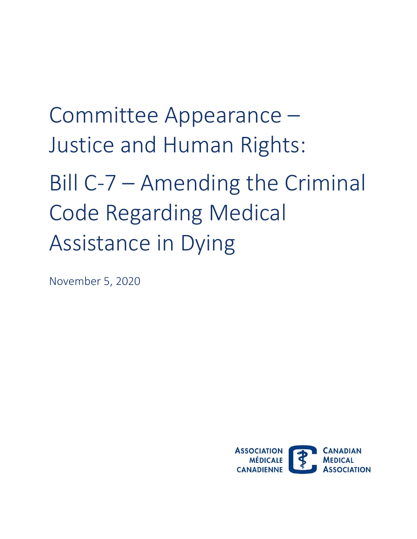Committee Appearance – Justice and Human Rights: Bill C-7 – Amending the Criminal Code Regarding Medical Assistance in Dying

November 5, 2020

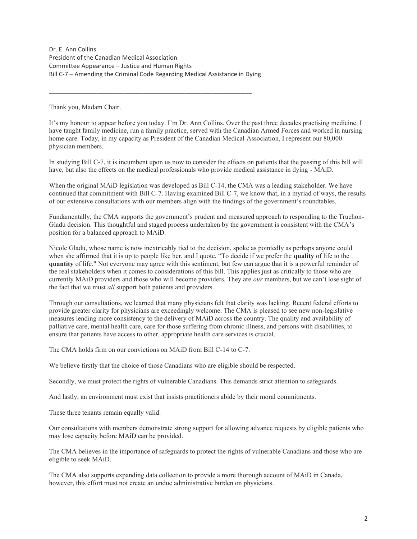Committee Appearance - Justice and Human Rights Dr. E. Ann Collins President of the Canadian Medical Association Bill C-7 – Amending the Criminal Code Regarding Medical Assistance in Dying

\_\_\_\_\_\_\_\_\_\_\_\_\_\_\_\_\_\_\_\_\_\_\_\_\_\_\_\_\_\_\_\_\_\_\_\_\_\_\_\_\_\_\_\_\_\_\_\_\_\_\_\_\_\_\_\_\_\_\_\_

Thank you, Madam Chair.

 It's my honour to appear before you today. I'm Dr. Ann Collins. Over the past three decades practising medicine, I have taught family medicine, run a family practice, served with the Canadian Armed Forces and worked in nursing home care. Today, in my capacity as President of the Canadian Medical Association, I represent our 80,000 physician members.

 In studying Bill C-7, it is incumbent upon us now to consider the effects on patients that the passing of this bill will have, but also the effects on the medical professionals who provide medical assistance in dying - MAiD.

When the original MAiD legislation was developed as Bill C-14, the CMA was a leading stakeholder. We have continued that commitment with Bill C-7. Having examined Bill C-7, we know that, in a myriad of ways, the results of our extensive consultations with our members align with the findings of the government's roundtables.

 Fundamentally, the CMA supports the government's prudent and measured approach to responding to the Truchon- Gladu decision. This thoughtful and staged process undertaken by the government is consistent with the CMA's position for a balanced approach to MAiD.

 Nicole Gladu, whose name is now inextricably tied to the decision, spoke as pointedly as perhaps anyone could when she affirmed that it is up to people like her, and I quote, "To decide if we prefer the **quality** of life to the **quantity** of life." Not everyone may agree with this sentiment, but few can argue that it is a powerful reminder of the real stakeholders when it comes to considerations of this bill. This applies just as critically to those who are currently MAiD providers and those who will become providers. They are *our* members, but we can't lose sight of the fact that we must *all* support both patients and providers.

 Through our consultations, we learned that many physicians felt that clarity was lacking. Recent federal efforts to provide greater clarity for physicians are exceedingly welcome. The CMA is pleased to see new non-legislative measures lending more consistency to the delivery of MAiD across the country. The quality and availability of palliative care, mental health care, care for those suffering from chronic illness, and persons with disabilities, to ensure that patients have access to other, appropriate health care services is crucial.

The CMA holds firm on our convictions on MAiD from Bill C-14 to C-7.

We believe firstly that the choice of those Canadians who are eligible should be respected.

Secondly, we must protect the rights of vulnerable Canadians. This demands strict attention to safeguards.

And lastly, an environment must exist that insists practitioners abide by their moral commitments.

These three tenants remain equally valid.

 Our consultations with members demonstrate strong support for allowing advance requests by eligible patients who may lose capacity before MAiD can be provided.

 The CMA believes in the importance of safeguards to protect the rights of vulnerable Canadians and those who are eligible to seek MAiD.

 The CMA also supports expanding data collection to provide a more thorough account of MAiD in Canada, however, this effort must not create an undue administrative burden on physicians.